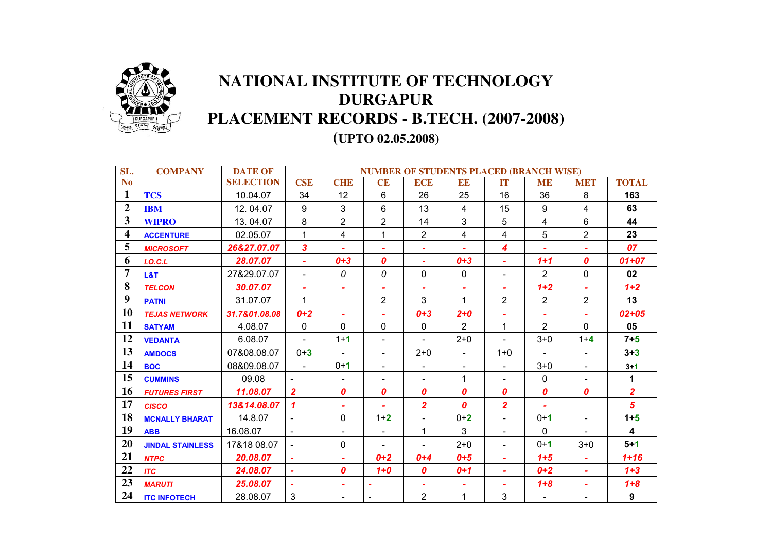

## **NATIONAL INSTITUTE OF TECHNOLOGY DURGAPUR PLACEMENT RECORDS - B.TECH. (2007-2008)**

**(UPTO 02.05.2008)** 

| SL.            | <b>COMPANY</b>          | <b>DATE OF</b>   | <b>NUMBER OF STUDENTS PLACED (BRANCH WISE)</b> |                  |                |                          |                |                         |                |                  |                |
|----------------|-------------------------|------------------|------------------------------------------------|------------------|----------------|--------------------------|----------------|-------------------------|----------------|------------------|----------------|
| <b>No</b>      |                         | <b>SELECTION</b> | <b>CSE</b>                                     | <b>CHE</b>       | <b>CE</b>      | <b>ECE</b>               | END            | <b>IT</b>               | <b>ME</b>      | <b>MET</b>       | <b>TOTAL</b>   |
| $\mathbf{1}$   | <b>TCS</b>              | 10.04.07         | 34                                             | 12               | $6\,$          | 26                       | 25             | 16                      | 36             | 8                | 163            |
| $\overline{2}$ | <b>IBM</b>              | 12.04.07         | 9                                              | 3                | 6              | 13                       | 4              | 15                      | 9              | 4                | 63             |
| 3              | <b>WIPRO</b>            | 13.04.07         | 8                                              | $\overline{2}$   | $\overline{2}$ | 14                       | 3              | 5                       | 4              | $6\phantom{1}$   | 44             |
| 4              | <b>ACCENTURE</b>        | 02.05.07         | 1                                              | $\overline{4}$   | 1              | 2                        | 4              | $\overline{4}$          | 5              | $\overline{2}$   | 23             |
| 5              | <b>MICROSOFT</b>        | 26&27.07.07      | $\overline{\mathbf{3}}$                        | $\blacksquare$   | $\sim$         | $\sim$                   | ٠              | $\boldsymbol{4}$        | $\blacksquare$ | $\blacksquare$   | 07             |
| 6              | I. O. C.L               | 28.07.07         | $\mathbf{r}$                                   | $0 + 3$          | 0              | $\tilde{\phantom{a}}$    | $0 + 3$        | ٠                       | $1 + 1$        | $\boldsymbol{0}$ | $01 + 07$      |
| $\overline{7}$ | L&T                     | 27&29.07.07      | $\blacksquare$                                 | 0                | 0              | 0                        | 0              |                         | $\overline{2}$ | 0                | 02             |
| 8              | <b>TELCON</b>           | 30.07.07         | ۰                                              |                  | ۰              |                          | ٠              |                         | $1 + 2$        |                  | $1 + 2$        |
| 9              | <b>PATNI</b>            | 31.07.07         | $\mathbf{1}$                                   |                  | $\overline{2}$ | 3                        | $\mathbf 1$    | $\overline{2}$          | $\overline{2}$ | $\overline{2}$   | 13             |
| 10             | <b>TEJAS NETWORK</b>    | 31.7&01.08.08    | $0+2$                                          | $\overline{a}$   |                | $0 + 3$                  | $2 + 0$        |                         |                | $\blacksquare$   | $02 + 05$      |
| 11             | <b>SATYAM</b>           | 4.08.07          | $\mathbf 0$                                    | $\Omega$         | 0              | $\mathbf 0$              | $\overline{2}$ | $\mathbf{1}$            | $\overline{2}$ | $\Omega$         | 05             |
| 12             | <b>VEDANTA</b>          | 6.08.07          | $\mathbf{r}$                                   | $1 + 1$          | $\blacksquare$ |                          | $2 + 0$        | $\blacksquare$          | $3 + 0$        | $1 + 4$          | $7+5$          |
| 13             | <b>AMDOCS</b>           | 07&08.08.07      | $0 + 3$                                        |                  | $\blacksquare$ | $2 + 0$                  | $\blacksquare$ | $1 + 0$                 | $\blacksquare$ |                  | $3 + 3$        |
| 14             | <b>BOC</b>              | 08&09.08.07      | $\blacksquare$                                 | $0 + 1$          | $\blacksquare$ | $\overline{\phantom{a}}$ | $\blacksquare$ |                         | $3+0$          | $\blacksquare$   | $3 - 1$        |
| 15             | <b>CUMMINS</b>          | 09.08            |                                                | $\blacksquare$   | $\blacksquare$ | $\blacksquare$           | 1              | $\blacksquare$          | 0              | $\blacksquare$   | 1              |
| 16             | <b>FUTURES FIRST</b>    | 11.08.07         | $\overline{2}$                                 | $\boldsymbol{0}$ | 0              | 0                        | 0              | $\boldsymbol{o}$        | 0              | $\boldsymbol{o}$ | $\overline{2}$ |
| 17             | <b>CISCO</b>            | 13&14.08.07      | $\mathbf{\mathcal{L}}$                         | ÷                |                | $\overline{2}$           | 0              | $\overline{\mathbf{2}}$ | ÷              |                  | 5              |
| 18             | <b>MCNALLY BHARAT</b>   | 14.8.07          | $\blacksquare$                                 | 0                | $1 + 2$        | $\blacksquare$           | $0+2$          | ٠                       | $0 + 1$        | $\blacksquare$   | $1+5$          |
| 19             | <b>ABB</b>              | 16.08.07         |                                                |                  | $\blacksquare$ | 1                        | 3              |                         | $\mathbf{0}$   |                  | 4              |
| 20             | <b>JINDAL STAINLESS</b> | 17&18 08.07      |                                                | $\mathbf 0$      | ۰              |                          | $2 + 0$        |                         | $0 + 1$        | $3 + 0$          | $5+1$          |
| 21             | <b>NTPC</b>             | 20.08.07         | $\sim$                                         | $\blacksquare$   | $0+2$          | $0 + 4$                  | $0+5$          | $\blacksquare$          | $1 + 5$        | $\blacksquare$   | $1 + 16$       |
| 22             | <b>ITC</b>              | 24.08.07         | $\sim$                                         | $\boldsymbol{0}$ | $1+0$          | $\boldsymbol{0}$         | $0+1$          | ×.                      | $0+2$          | $\blacksquare$   | $1+3$          |
| 23             | <b>MARUTI</b>           | 25.08.07         |                                                | $\blacksquare$   |                |                          | ٠              | ٠                       | $1 + 8$        | ٠                | $1 + 8$        |
| 24             | <b>ITC INFOTECH</b>     | 28.08.07         | $\mathbf{3}$                                   |                  |                | $\overline{2}$           | 1              | 3                       | $\blacksquare$ |                  | 9              |